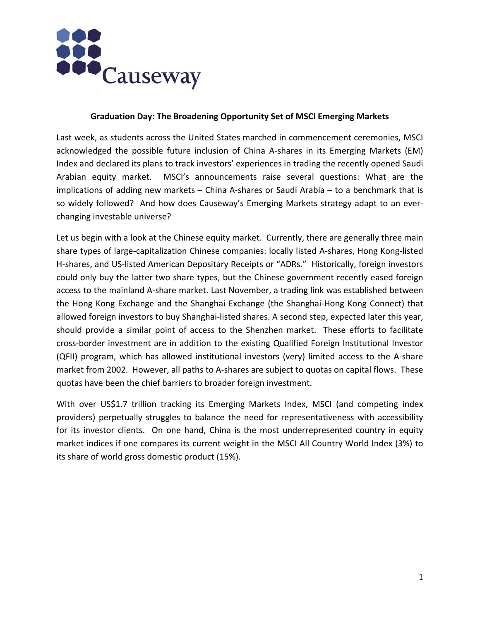

## **Graduation Day: The Broadening Opportunity Set of MSCI Emerging Markets**

Last week, as students across the United States marched in commencement ceremonies, MSCI acknowledged the possible future inclusion of China A‐shares in its Emerging Markets (EM) Index and declared its plans to track investors' experiences in trading the recently opened Saudi Arabian equity market. MSCI's announcements raise several questions: What are the implications of adding new markets – China A-shares or Saudi Arabia – to a benchmark that is so widely followed? And how does Causeway's Emerging Markets strategy adapt to an ever‐ changing investable universe?

Let us begin with a look at the Chinese equity market. Currently, there are generally three main share types of large‐capitalization Chinese companies: locally listed A‐shares, Hong Kong‐listed H-shares, and US-listed American Depositary Receipts or "ADRs." Historically, foreign investors could only buy the latter two share types, but the Chinese government recently eased foreign access to the mainland A‐share market. Last November, a trading link was established between the Hong Kong Exchange and the Shanghai Exchange (the Shanghai‐Hong Kong Connect) that allowed foreign investors to buy Shanghai‐listed shares. A second step, expected later this year, should provide a similar point of access to the Shenzhen market. These efforts to facilitate cross‐border investment are in addition to the existing Qualified Foreign Institutional Investor (QFII) program, which has allowed institutional investors (very) limited access to the A‐share market from 2002. However, all paths to A‐shares are subject to quotas on capital flows. These quotas have been the chief barriers to broader foreign investment.

With over US\$1.7 trillion tracking its Emerging Markets Index, MSCI (and competing index providers) perpetually struggles to balance the need for representativeness with accessibility for its investor clients. On one hand, China is the most underrepresented country in equity market indices if one compares its current weight in the MSCI All Country World Index (3%) to its share of world gross domestic product (15%).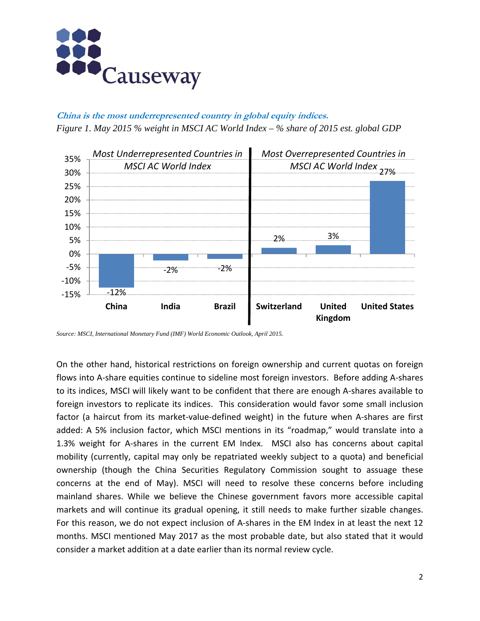

**China is the most underrepresented country in global equity indices.** *Figure 1. May 2015 % weight in MSCI AC World Index – % share of 2015 est. global GDP* 



*Source: MSCI, International Monetary Fund (IMF) World Economic Outlook, April 2015.* 

On the other hand, historical restrictions on foreign ownership and current quotas on foreign flows into A-share equities continue to sideline most foreign investors. Before adding A-shares to its indices, MSCI will likely want to be confident that there are enough A‐shares available to foreign investors to replicate its indices. This consideration would favor some small inclusion factor (a haircut from its market-value-defined weight) in the future when A-shares are first added: A 5% inclusion factor, which MSCI mentions in its "roadmap," would translate into a 1.3% weight for A-shares in the current EM Index. MSCI also has concerns about capital mobility (currently, capital may only be repatriated weekly subject to a quota) and beneficial ownership (though the China Securities Regulatory Commission sought to assuage these concerns at the end of May). MSCI will need to resolve these concerns before including mainland shares. While we believe the Chinese government favors more accessible capital markets and will continue its gradual opening, it still needs to make further sizable changes. For this reason, we do not expect inclusion of A-shares in the EM Index in at least the next 12 months. MSCI mentioned May 2017 as the most probable date, but also stated that it would consider a market addition at a date earlier than its normal review cycle.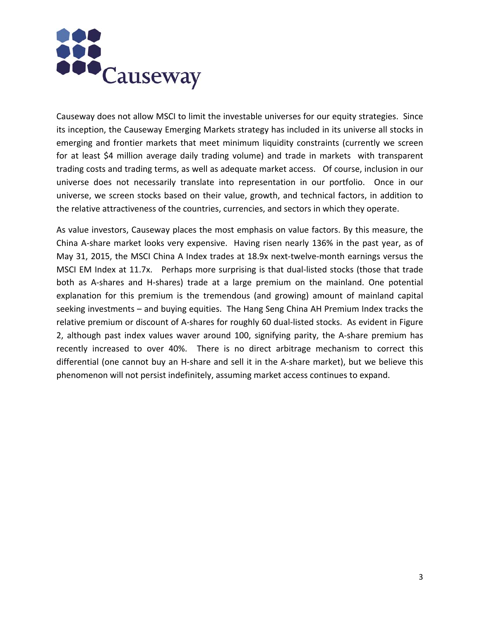

Causeway does not allow MSCI to limit the investable universes for our equity strategies. Since its inception, the Causeway Emerging Markets strategy has included in its universe all stocks in emerging and frontier markets that meet minimum liquidity constraints (currently we screen for at least \$4 million average daily trading volume) and trade in markets with transparent trading costs and trading terms, as well as adequate market access. Of course, inclusion in our universe does not necessarily translate into representation in our portfolio. Once in our universe, we screen stocks based on their value, growth, and technical factors, in addition to the relative attractiveness of the countries, currencies, and sectors in which they operate.

As value investors, Causeway places the most emphasis on value factors. By this measure, the China A‐share market looks very expensive. Having risen nearly 136% in the past year, as of May 31, 2015, the MSCI China A Index trades at 18.9x next-twelve-month earnings versus the MSCI EM Index at 11.7x. Perhaps more surprising is that dual-listed stocks (those that trade both as A-shares and H-shares) trade at a large premium on the mainland. One potential explanation for this premium is the tremendous (and growing) amount of mainland capital seeking investments – and buying equities. The Hang Seng China AH Premium Index tracks the relative premium or discount of A‐shares for roughly 60 dual‐listed stocks. As evident in Figure 2, although past index values waver around 100, signifying parity, the A‐share premium has recently increased to over 40%. There is no direct arbitrage mechanism to correct this differential (one cannot buy an H‐share and sell it in the A‐share market), but we believe this phenomenon will not persist indefinitely, assuming market access continues to expand.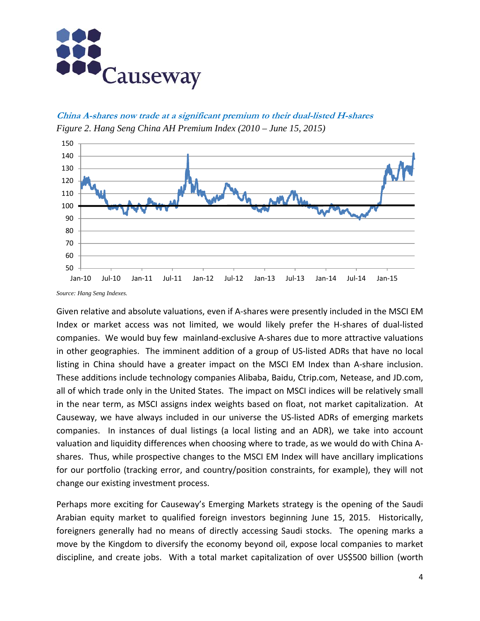

**China A-shares now trade at a significant premium to their dual-listed H-shares** *Figure 2. Hang Seng China AH Premium Index (2010 – June 15, 2015)* 



*Source: Hang Seng Indexes.*

Given relative and absolute valuations, even if A‐shares were presently included in the MSCI EM Index or market access was not limited, we would likely prefer the H‐shares of dual‐listed companies. We would buy few mainland‐exclusive A‐shares due to more attractive valuations in other geographies. The imminent addition of a group of US‐listed ADRs that have no local listing in China should have a greater impact on the MSCI EM Index than A‐share inclusion. These additions include technology companies Alibaba, Baidu, Ctrip.com, Netease, and JD.com, all of which trade only in the United States. The impact on MSCI indices will be relatively small in the near term, as MSCI assigns index weights based on float, not market capitalization. At Causeway, we have always included in our universe the US‐listed ADRs of emerging markets companies. In instances of dual listings (a local listing and an ADR), we take into account valuation and liquidity differences when choosing where to trade, as we would do with China A‐ shares. Thus, while prospective changes to the MSCI EM Index will have ancillary implications for our portfolio (tracking error, and country/position constraints, for example), they will not change our existing investment process.

Perhaps more exciting for Causeway's Emerging Markets strategy is the opening of the Saudi Arabian equity market to qualified foreign investors beginning June 15, 2015. Historically, foreigners generally had no means of directly accessing Saudi stocks. The opening marks a move by the Kingdom to diversify the economy beyond oil, expose local companies to market discipline, and create jobs. With a total market capitalization of over US\$500 billion (worth